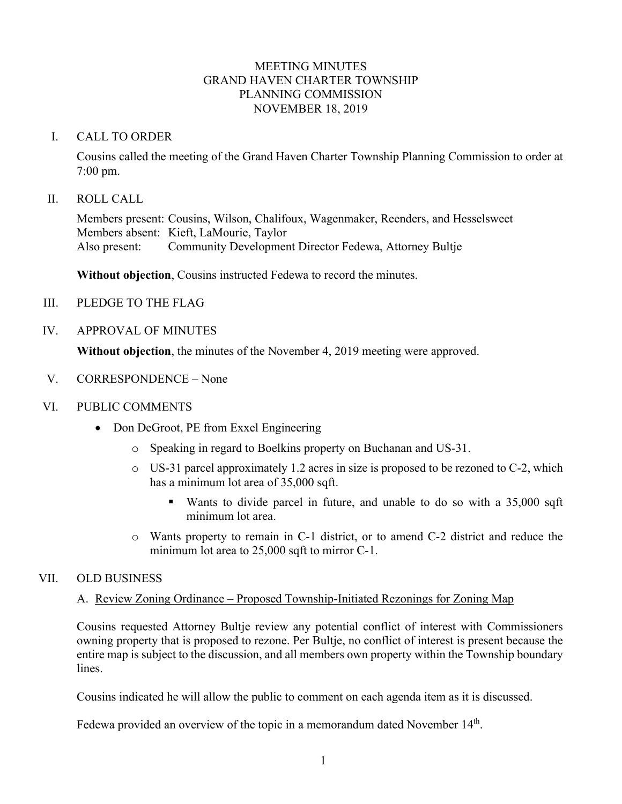#### MEETING MINUTES GRAND HAVEN CHARTER TOWNSHIP PLANNING COMMISSION NOVEMBER 18, 2019

#### I. CALL TO ORDER

Cousins called the meeting of the Grand Haven Charter Township Planning Commission to order at 7:00 pm.

#### II. ROLL CALL

Members present: Cousins, Wilson, Chalifoux, Wagenmaker, Reenders, and Hesselsweet Members absent: Kieft, LaMourie, Taylor Also present: Community Development Director Fedewa, Attorney Bultje

**Without objection**, Cousins instructed Fedewa to record the minutes.

- III. PLEDGE TO THE FLAG
- IV. APPROVAL OF MINUTES

**Without objection**, the minutes of the November 4, 2019 meeting were approved.

- V. CORRESPONDENCE None
- VI. PUBLIC COMMENTS
	- Don DeGroot, PE from Exxel Engineering
		- o Speaking in regard to Boelkins property on Buchanan and US-31.
		- o US-31 parcel approximately 1.2 acres in size is proposed to be rezoned to C-2, which has a minimum lot area of 35,000 sqft.
			- Wants to divide parcel in future, and unable to do so with a 35,000 sqft minimum lot area.
		- o Wants property to remain in C-1 district, or to amend C-2 district and reduce the minimum lot area to 25,000 sqft to mirror C-1.

## VII. OLD BUSINESS

## A. Review Zoning Ordinance – Proposed Township-Initiated Rezonings for Zoning Map

Cousins requested Attorney Bultje review any potential conflict of interest with Commissioners owning property that is proposed to rezone. Per Bultje, no conflict of interest is present because the entire map is subject to the discussion, and all members own property within the Township boundary lines.

Cousins indicated he will allow the public to comment on each agenda item as it is discussed.

Fedewa provided an overview of the topic in a memorandum dated November 14<sup>th</sup>.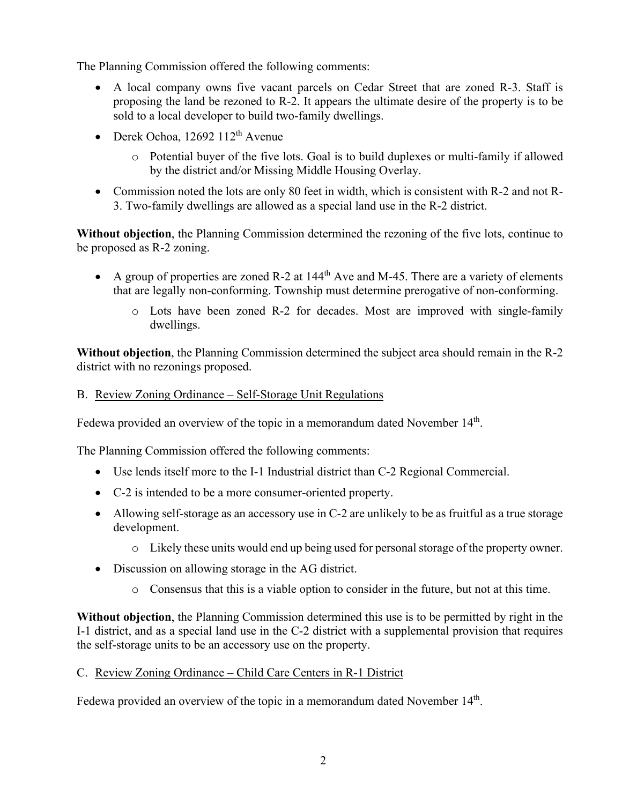The Planning Commission offered the following comments:

- A local company owns five vacant parcels on Cedar Street that are zoned R-3. Staff is proposing the land be rezoned to R-2. It appears the ultimate desire of the property is to be sold to a local developer to build two-family dwellings.
- Derek Ochoa,  $12692$   $112<sup>th</sup>$  Avenue
	- o Potential buyer of the five lots. Goal is to build duplexes or multi-family if allowed by the district and/or Missing Middle Housing Overlay.
- Commission noted the lots are only 80 feet in width, which is consistent with R-2 and not R-3. Two-family dwellings are allowed as a special land use in the R-2 district.

**Without objection**, the Planning Commission determined the rezoning of the five lots, continue to be proposed as R-2 zoning.

- A group of properties are zoned R-2 at  $144<sup>th</sup>$  Ave and M-45. There are a variety of elements that are legally non-conforming. Township must determine prerogative of non-conforming.
	- o Lots have been zoned R-2 for decades. Most are improved with single-family dwellings.

**Without objection**, the Planning Commission determined the subject area should remain in the R-2 district with no rezonings proposed.

## B. Review Zoning Ordinance – Self-Storage Unit Regulations

Fedewa provided an overview of the topic in a memorandum dated November 14<sup>th</sup>.

The Planning Commission offered the following comments:

- Use lends itself more to the I-1 Industrial district than C-2 Regional Commercial.
- C-2 is intended to be a more consumer-oriented property.
- Allowing self-storage as an accessory use in C-2 are unlikely to be as fruitful as a true storage development.
	- o Likely these units would end up being used for personal storage of the property owner.
- Discussion on allowing storage in the AG district.
	- o Consensus that this is a viable option to consider in the future, but not at this time.

**Without objection**, the Planning Commission determined this use is to be permitted by right in the I-1 district, and as a special land use in the C-2 district with a supplemental provision that requires the self-storage units to be an accessory use on the property.

## C. Review Zoning Ordinance – Child Care Centers in R-1 District

Fedewa provided an overview of the topic in a memorandum dated November 14<sup>th</sup>.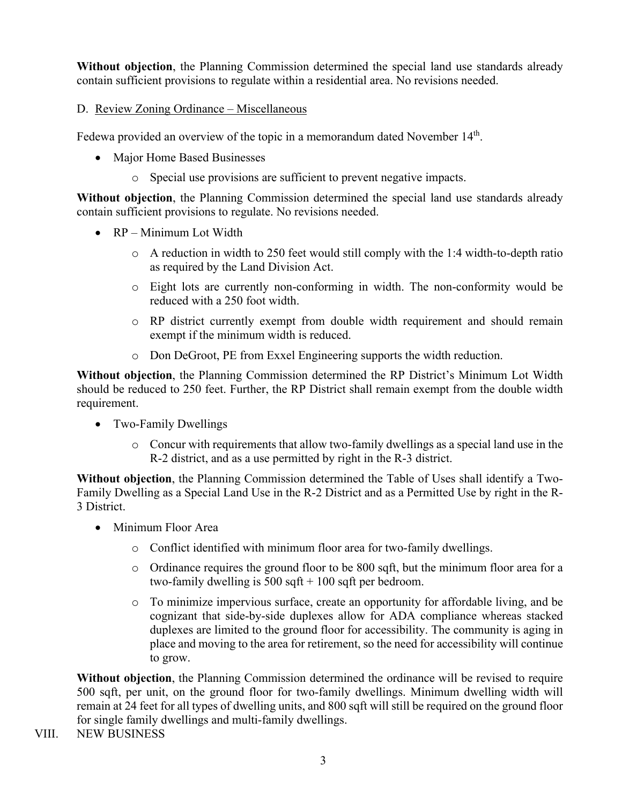**Without objection**, the Planning Commission determined the special land use standards already contain sufficient provisions to regulate within a residential area. No revisions needed.

# D. Review Zoning Ordinance – Miscellaneous

Fedewa provided an overview of the topic in a memorandum dated November 14<sup>th</sup>.

- Major Home Based Businesses
	- o Special use provisions are sufficient to prevent negative impacts.

**Without objection**, the Planning Commission determined the special land use standards already contain sufficient provisions to regulate. No revisions needed.

- RP Minimum Lot Width
	- o A reduction in width to 250 feet would still comply with the 1:4 width-to-depth ratio as required by the Land Division Act.
	- o Eight lots are currently non-conforming in width. The non-conformity would be reduced with a 250 foot width.
	- o RP district currently exempt from double width requirement and should remain exempt if the minimum width is reduced.
	- o Don DeGroot, PE from Exxel Engineering supports the width reduction.

**Without objection**, the Planning Commission determined the RP District's Minimum Lot Width should be reduced to 250 feet. Further, the RP District shall remain exempt from the double width requirement.

- Two-Family Dwellings
	- $\circ$  Concur with requirements that allow two-family dwellings as a special land use in the R-2 district, and as a use permitted by right in the R-3 district.

**Without objection**, the Planning Commission determined the Table of Uses shall identify a Two-Family Dwelling as a Special Land Use in the R-2 District and as a Permitted Use by right in the R-3 District.

- Minimum Floor Area
	- o Conflict identified with minimum floor area for two-family dwellings.
	- o Ordinance requires the ground floor to be 800 sqft, but the minimum floor area for a two-family dwelling is  $500$  sqft + 100 sqft per bedroom.
	- o To minimize impervious surface, create an opportunity for affordable living, and be cognizant that side-by-side duplexes allow for ADA compliance whereas stacked duplexes are limited to the ground floor for accessibility. The community is aging in place and moving to the area for retirement, so the need for accessibility will continue to grow.

**Without objection**, the Planning Commission determined the ordinance will be revised to require 500 sqft, per unit, on the ground floor for two-family dwellings. Minimum dwelling width will remain at 24 feet for all types of dwelling units, and 800 sqft will still be required on the ground floor for single family dwellings and multi-family dwellings.

VIII. NEW BUSINESS